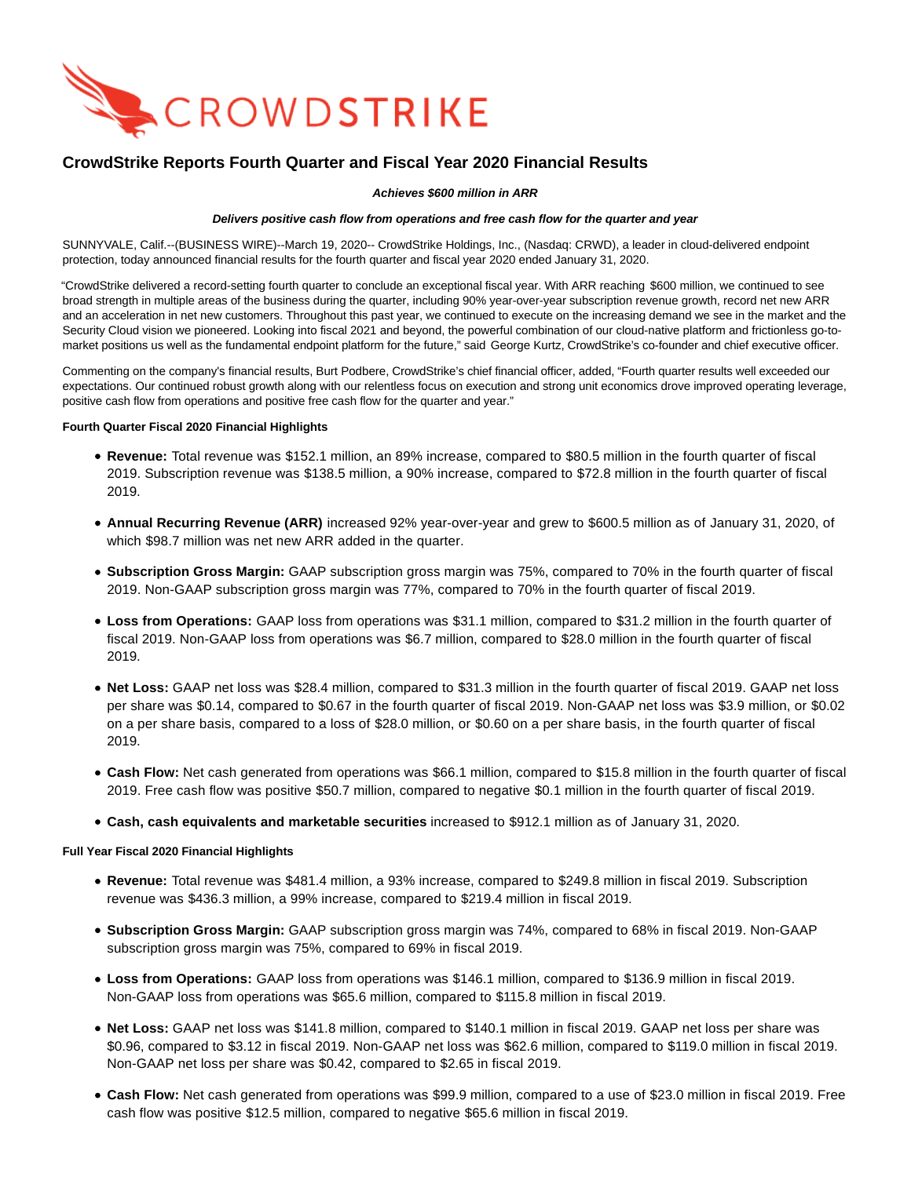

# **CrowdStrike Reports Fourth Quarter and Fiscal Year 2020 Financial Results**

### **Achieves \$600 million in ARR**

### **Delivers positive cash flow from operations and free cash flow for the quarter and year**

SUNNYVALE, Calif.--(BUSINESS WIRE)--March 19, 2020-- CrowdStrike Holdings, Inc., (Nasdaq: CRWD), a leader in cloud-delivered endpoint protection, today announced financial results for the fourth quarter and fiscal year 2020 ended January 31, 2020.

"CrowdStrike delivered a record-setting fourth quarter to conclude an exceptional fiscal year. With ARR reaching \$600 million, we continued to see broad strength in multiple areas of the business during the quarter, including 90% year-over-year subscription revenue growth, record net new ARR and an acceleration in net new customers. Throughout this past year, we continued to execute on the increasing demand we see in the market and the Security Cloud vision we pioneered. Looking into fiscal 2021 and beyond, the powerful combination of our cloud-native platform and frictionless go-tomarket positions us well as the fundamental endpoint platform for the future," said George Kurtz, CrowdStrike's co-founder and chief executive officer.

Commenting on the company's financial results, Burt Podbere, CrowdStrike's chief financial officer, added, "Fourth quarter results well exceeded our expectations. Our continued robust growth along with our relentless focus on execution and strong unit economics drove improved operating leverage, positive cash flow from operations and positive free cash flow for the quarter and year."

### **Fourth Quarter Fiscal 2020 Financial Highlights**

- **Revenue:** Total revenue was \$152.1 million, an 89% increase, compared to \$80.5 million in the fourth quarter of fiscal 2019. Subscription revenue was \$138.5 million, a 90% increase, compared to \$72.8 million in the fourth quarter of fiscal 2019.
- **Annual Recurring Revenue (ARR)** increased 92% year-over-year and grew to \$600.5 million as of January 31, 2020, of which \$98.7 million was net new ARR added in the quarter.
- **Subscription Gross Margin:** GAAP subscription gross margin was 75%, compared to 70% in the fourth quarter of fiscal 2019. Non-GAAP subscription gross margin was 77%, compared to 70% in the fourth quarter of fiscal 2019.
- **Loss from Operations:** GAAP loss from operations was \$31.1 million, compared to \$31.2 million in the fourth quarter of fiscal 2019. Non-GAAP loss from operations was \$6.7 million, compared to \$28.0 million in the fourth quarter of fiscal 2019.
- **Net Loss:** GAAP net loss was \$28.4 million, compared to \$31.3 million in the fourth quarter of fiscal 2019. GAAP net loss per share was \$0.14, compared to \$0.67 in the fourth quarter of fiscal 2019. Non-GAAP net loss was \$3.9 million, or \$0.02 on a per share basis, compared to a loss of \$28.0 million, or \$0.60 on a per share basis, in the fourth quarter of fiscal 2019.
- **Cash Flow:** Net cash generated from operations was \$66.1 million, compared to \$15.8 million in the fourth quarter of fiscal 2019. Free cash flow was positive \$50.7 million, compared to negative \$0.1 million in the fourth quarter of fiscal 2019.
- **Cash, cash equivalents and marketable securities** increased to \$912.1 million as of January 31, 2020.

### **Full Year Fiscal 2020 Financial Highlights**

- **Revenue:** Total revenue was \$481.4 million, a 93% increase, compared to \$249.8 million in fiscal 2019. Subscription revenue was \$436.3 million, a 99% increase, compared to \$219.4 million in fiscal 2019.
- **Subscription Gross Margin:** GAAP subscription gross margin was 74%, compared to 68% in fiscal 2019. Non-GAAP subscription gross margin was 75%, compared to 69% in fiscal 2019.
- **Loss from Operations:** GAAP loss from operations was \$146.1 million, compared to \$136.9 million in fiscal 2019. Non-GAAP loss from operations was \$65.6 million, compared to \$115.8 million in fiscal 2019.
- **Net Loss:** GAAP net loss was \$141.8 million, compared to \$140.1 million in fiscal 2019. GAAP net loss per share was \$0.96, compared to \$3.12 in fiscal 2019. Non-GAAP net loss was \$62.6 million, compared to \$119.0 million in fiscal 2019. Non-GAAP net loss per share was \$0.42, compared to \$2.65 in fiscal 2019.
- **Cash Flow:** Net cash generated from operations was \$99.9 million, compared to a use of \$23.0 million in fiscal 2019. Free cash flow was positive \$12.5 million, compared to negative \$65.6 million in fiscal 2019.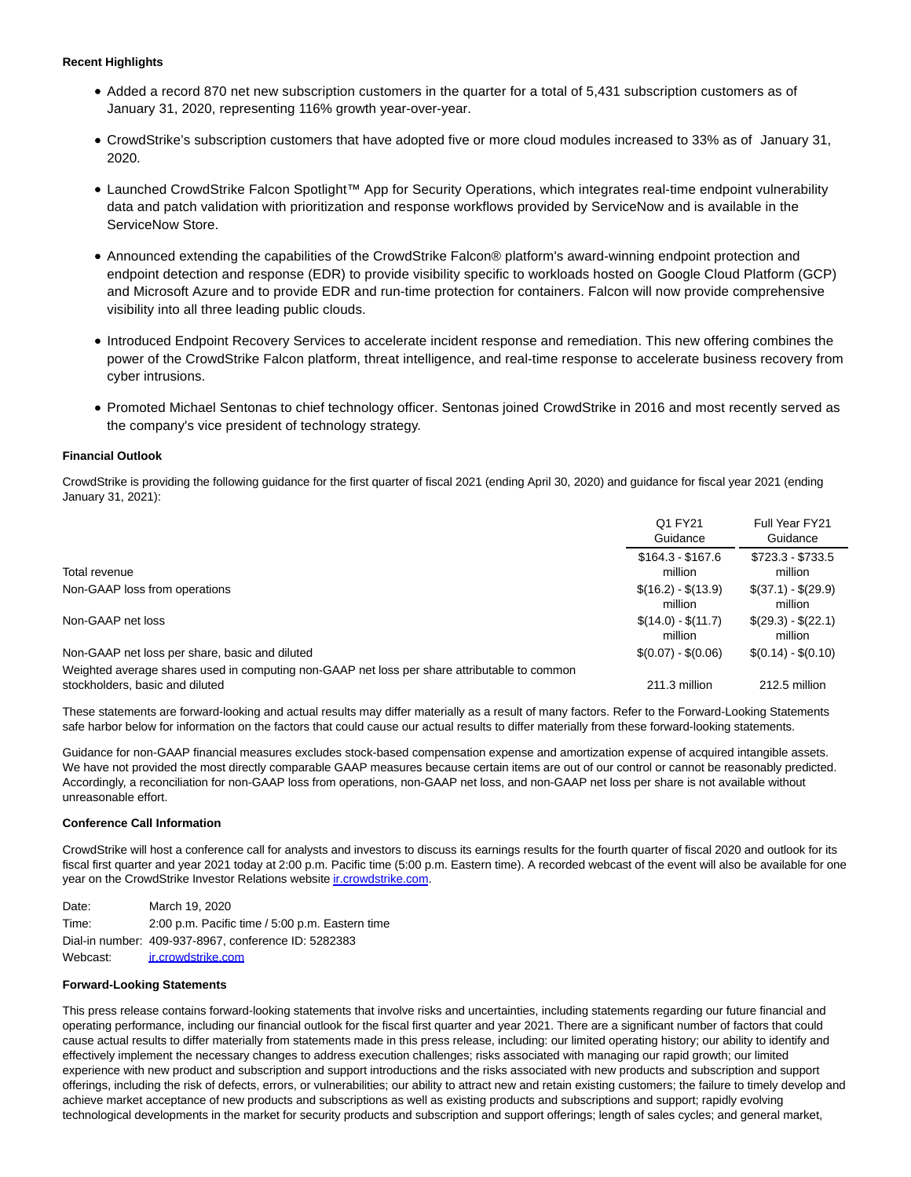### **Recent Highlights**

- Added a record 870 net new subscription customers in the quarter for a total of 5,431 subscription customers as of January 31, 2020, representing 116% growth year-over-year.
- CrowdStrike's subscription customers that have adopted five or more cloud modules increased to 33% as of January 31, 2020.
- Launched CrowdStrike Falcon Spotlight™ App for Security Operations, which integrates real-time endpoint vulnerability data and patch validation with prioritization and response workflows provided by ServiceNow and is available in the ServiceNow Store.
- Announced extending the capabilities of the CrowdStrike Falcon® platform's award-winning endpoint protection and endpoint detection and response (EDR) to provide visibility specific to workloads hosted on Google Cloud Platform (GCP) and Microsoft Azure and to provide EDR and run-time protection for containers. Falcon will now provide comprehensive visibility into all three leading public clouds.
- Introduced Endpoint Recovery Services to accelerate incident response and remediation. This new offering combines the power of the CrowdStrike Falcon platform, threat intelligence, and real-time response to accelerate business recovery from cyber intrusions.
- Promoted Michael Sentonas to chief technology officer. Sentonas joined CrowdStrike in 2016 and most recently served as the company's vice president of technology strategy.

### **Financial Outlook**

CrowdStrike is providing the following guidance for the first quarter of fiscal 2021 (ending April 30, 2020) and guidance for fiscal year 2021 (ending January 31, 2021):

|                                                                                                                                 | Q1 FY21<br>Guidance            | Full Year FY21<br>Guidance     |
|---------------------------------------------------------------------------------------------------------------------------------|--------------------------------|--------------------------------|
| Total revenue                                                                                                                   | $$164.3 - $167.6$<br>million   | $$723.3 - $733.5$<br>million   |
| Non-GAAP loss from operations                                                                                                   | $$(16.2) - $(13.9)$<br>million | $$(37.1) - $(29.9)$<br>million |
| Non-GAAP net loss                                                                                                               | $$(14.0) - $(11.7)$<br>million | $$(29.3) - $(22.1)$<br>million |
| Non-GAAP net loss per share, basic and diluted                                                                                  | $$(0.07) - $(0.06)$            | $$(0.14) - $(0.10)$            |
| Weighted average shares used in computing non-GAAP net loss per share attributable to common<br>stockholders, basic and diluted | 211.3 million                  | 212.5 million                  |

These statements are forward-looking and actual results may differ materially as a result of many factors. Refer to the Forward-Looking Statements safe harbor below for information on the factors that could cause our actual results to differ materially from these forward-looking statements.

Guidance for non-GAAP financial measures excludes stock-based compensation expense and amortization expense of acquired intangible assets. We have not provided the most directly comparable GAAP measures because certain items are out of our control or cannot be reasonably predicted. Accordingly, a reconciliation for non-GAAP loss from operations, non-GAAP net loss, and non-GAAP net loss per share is not available without unreasonable effort.

### **Conference Call Information**

CrowdStrike will host a conference call for analysts and investors to discuss its earnings results for the fourth quarter of fiscal 2020 and outlook for its fiscal first quarter and year 2021 today at 2:00 p.m. Pacific time (5:00 p.m. Eastern time). A recorded webcast of the event will also be available for one year on the CrowdStrike Investor Relations websit[e ir.crowdstrike.com.](https://cts.businesswire.com/ct/CT?id=smartlink&url=http%3A%2F%2Fir.crowdstrike.com&esheet=52191393&newsitemid=20200319005751&lan=en-US&anchor=ir.crowdstrike.com&index=1&md5=fb675ceb7a44b4650ba848b6aa360373)

Date: March 19, 2020 Time: 2:00 p.m. Pacific time / 5:00 p.m. Eastern time Dial-in number: 409-937-8967, conference ID: 5282383 Webcast: [ir.crowdstrike.com](https://cts.businesswire.com/ct/CT?id=smartlink&url=http%3A%2F%2Fir.crowdstrike.com&esheet=52191393&newsitemid=20200319005751&lan=en-US&anchor=ir.crowdstrike.com&index=2&md5=1eed923806f57e930b9cafda3683e1ed)

### **Forward-Looking Statements**

This press release contains forward-looking statements that involve risks and uncertainties, including statements regarding our future financial and operating performance, including our financial outlook for the fiscal first quarter and year 2021. There are a significant number of factors that could cause actual results to differ materially from statements made in this press release, including: our limited operating history; our ability to identify and effectively implement the necessary changes to address execution challenges; risks associated with managing our rapid growth; our limited experience with new product and subscription and support introductions and the risks associated with new products and subscription and support offerings, including the risk of defects, errors, or vulnerabilities; our ability to attract new and retain existing customers; the failure to timely develop and achieve market acceptance of new products and subscriptions as well as existing products and subscriptions and support; rapidly evolving technological developments in the market for security products and subscription and support offerings; length of sales cycles; and general market,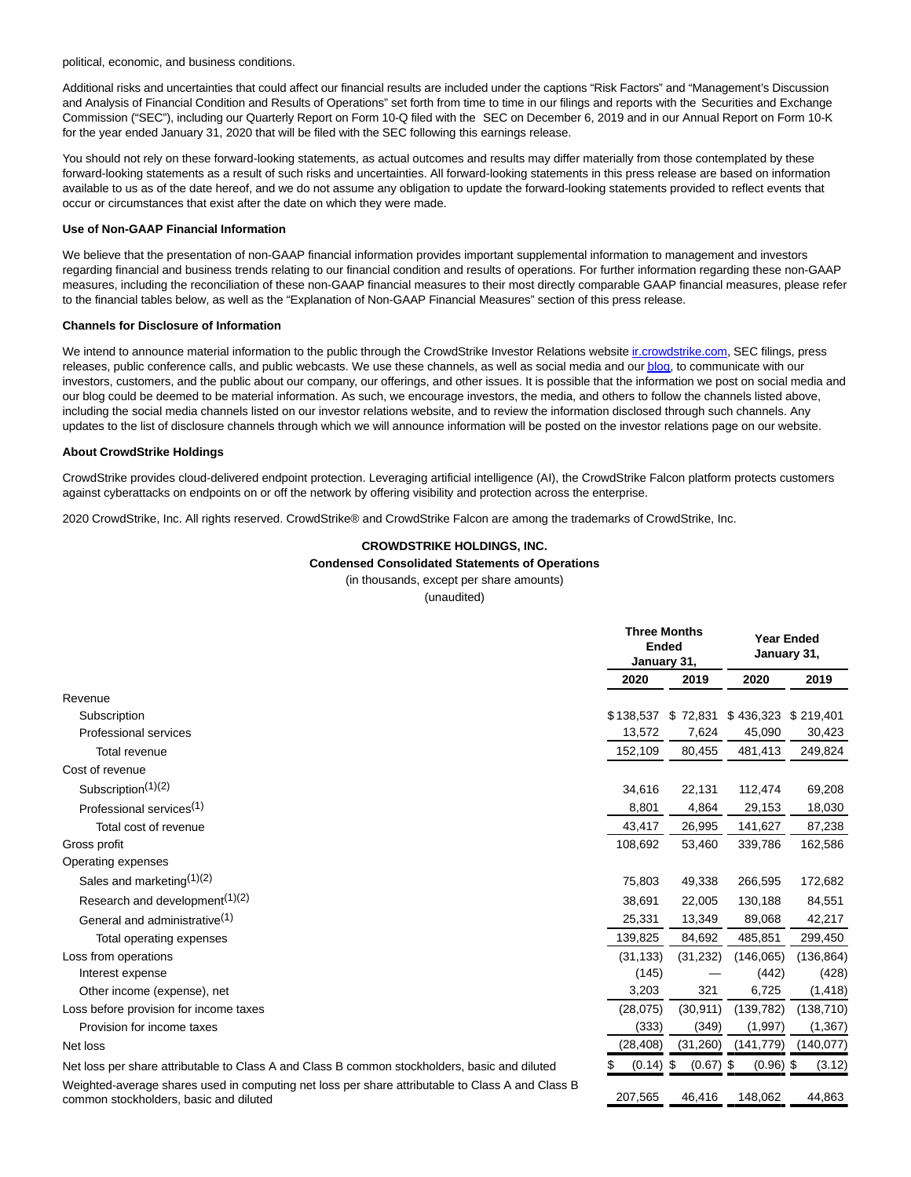political, economic, and business conditions.

Additional risks and uncertainties that could affect our financial results are included under the captions "Risk Factors" and "Management's Discussion and Analysis of Financial Condition and Results of Operations" set forth from time to time in our filings and reports with the Securities and Exchange Commission ("SEC"), including our Quarterly Report on Form 10-Q filed with the SEC on December 6, 2019 and in our Annual Report on Form 10-K for the year ended January 31, 2020 that will be filed with the SEC following this earnings release.

You should not rely on these forward-looking statements, as actual outcomes and results may differ materially from those contemplated by these forward-looking statements as a result of such risks and uncertainties. All forward-looking statements in this press release are based on information available to us as of the date hereof, and we do not assume any obligation to update the forward-looking statements provided to reflect events that occur or circumstances that exist after the date on which they were made.

### **Use of Non-GAAP Financial Information**

We believe that the presentation of non-GAAP financial information provides important supplemental information to management and investors regarding financial and business trends relating to our financial condition and results of operations. For further information regarding these non-GAAP measures, including the reconciliation of these non-GAAP financial measures to their most directly comparable GAAP financial measures, please refer to the financial tables below, as well as the "Explanation of Non-GAAP Financial Measures" section of this press release.

### **Channels for Disclosure of Information**

We intend to announce material information to the public through the CrowdStrike Investor Relations website incrowdstrike.com, SEC filings, press releases, public conference calls, and public webcasts. We use these channels, as well as social media and ou[r blog,](https://cts.businesswire.com/ct/CT?id=smartlink&url=https%3A%2F%2Fwww.crowdstrike.com%2Fblog%2F&esheet=52191393&newsitemid=20200319005751&lan=en-US&anchor=blog&index=4&md5=fb8a523ee47948324c1401d9dc2971f9) to communicate with our investors, customers, and the public about our company, our offerings, and other issues. It is possible that the information we post on social media and our blog could be deemed to be material information. As such, we encourage investors, the media, and others to follow the channels listed above, including the social media channels listed on our investor relations website, and to review the information disclosed through such channels. Any updates to the list of disclosure channels through which we will announce information will be posted on the investor relations page on our website.

#### **About CrowdStrike Holdings**

CrowdStrike provides cloud-delivered endpoint protection. Leveraging artificial intelligence (AI), the CrowdStrike Falcon platform protects customers against cyberattacks on endpoints on or off the network by offering visibility and protection across the enterprise.

2020 CrowdStrike, Inc. All rights reserved. CrowdStrike® and CrowdStrike Falcon are among the trademarks of CrowdStrike, Inc.

### **CROWDSTRIKE HOLDINGS, INC.**

**Condensed Consolidated Statements of Operations**

(in thousands, except per share amounts)

(unaudited)

|                                            | <b>Three Months</b><br><b>Ended</b><br>January 31, |           |                     | <b>Year Ended</b><br>January 31, |
|--------------------------------------------|----------------------------------------------------|-----------|---------------------|----------------------------------|
|                                            | 2020                                               | 2019      | 2020                | 2019                             |
| Revenue                                    |                                                    |           |                     |                                  |
| Subscription                               | \$138,537                                          | \$72,831  | \$436,323 \$219,401 |                                  |
| <b>Professional services</b>               | 13,572                                             | 7,624     | 45,090              | 30,423                           |
| Total revenue                              | 152,109                                            | 80,455    | 481,413             | 249,824                          |
| Cost of revenue                            |                                                    |           |                     |                                  |
| Subscription <sup>(1)(2)</sup>             | 34,616                                             | 22,131    | 112,474             | 69,208                           |
| Professional services <sup>(1)</sup>       | 8,801                                              | 4,864     | 29,153              | 18,030                           |
| Total cost of revenue                      | 43,417                                             | 26,995    | 141,627             | 87,238                           |
| Gross profit                               | 108,692                                            | 53,460    | 339,786             | 162,586                          |
| Operating expenses                         |                                                    |           |                     |                                  |
| Sales and marketing $(1)(2)$               | 75,803                                             | 49,338    | 266,595             | 172,682                          |
| Research and development <sup>(1)(2)</sup> | 38.691                                             | 22,005    | 130,188             | 84,551                           |
| General and administrative <sup>(1)</sup>  | 25,331                                             | 13,349    | 89,068              | 42,217                           |
| Total operating expenses                   | 139,825                                            | 84,692    | 485,851             | 299,450                          |
| Loss from operations                       | (31, 133)                                          | (31, 232) | (146,065)           | (136, 864)                       |
| Interest expense                           | (145)                                              |           | (442)               | (428)                            |
| Other income (expense), net                | 3,203                                              | 321       | 6,725               | (1, 418)                         |
| Loss before provision for income taxes     | (28,075)                                           | (30, 911) | (139, 782)          | (138, 710)                       |
| Provision for income taxes                 | (333)                                              | (349)     | (1,997)             | (1, 367)                         |
| Net loss                                   | (28, 408)                                          | (31, 260) | (141, 779)          | (140, 077)                       |
|                                            | $\sqrt{2}$                                         | (0.07)    | (0.00)              |                                  |

Net loss per share attributable to Class A and Class B common stockholders, basic and diluted  $$(0.14)$  \$  $(0.67)$  \$  $(0.96)$  \$  $(3.12)$ Weighted-average shares used in computing net loss per share attributable to Class A and Class B common stockholders, basic and diluted 207,565 46,416 148,062 44,863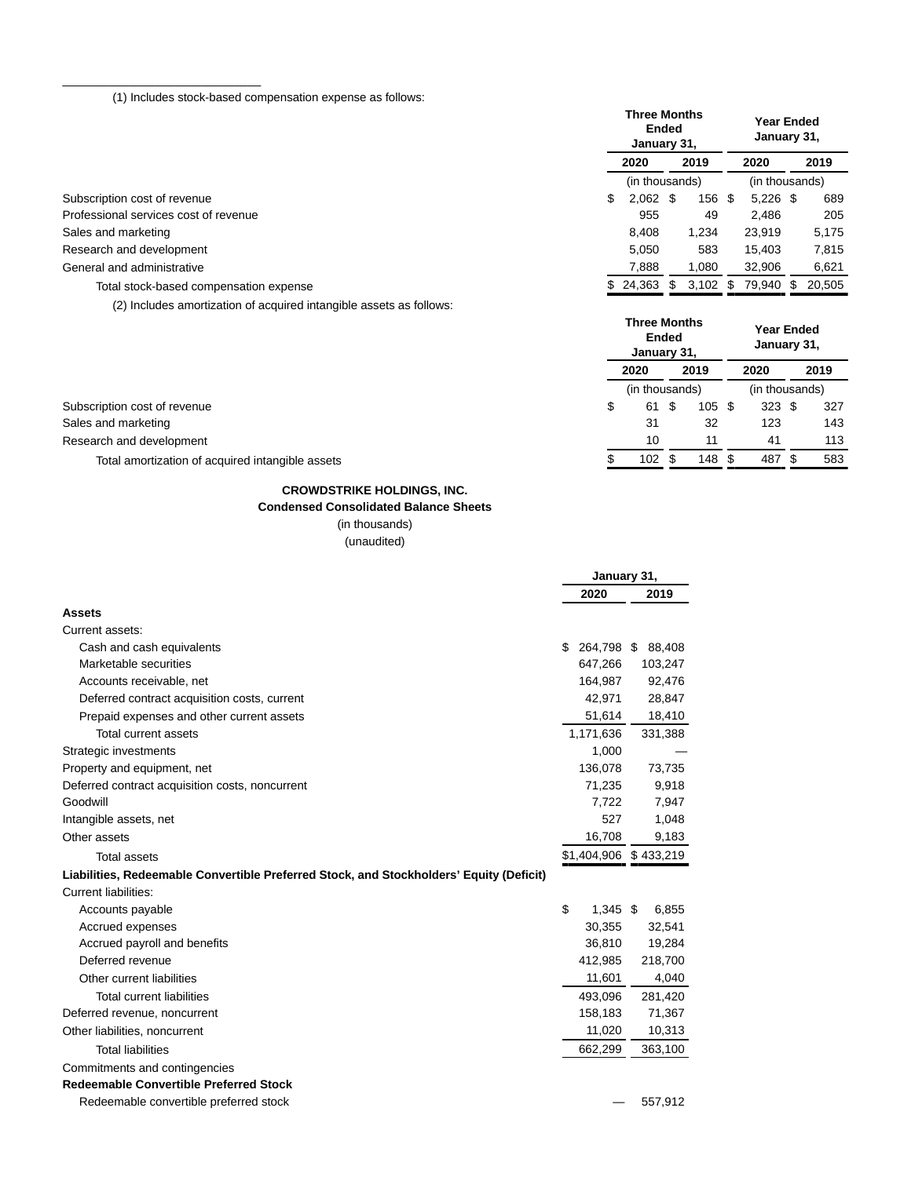(1) Includes stock-based compensation expense as follows:

\_\_\_\_\_\_\_\_\_\_\_\_\_\_\_\_\_\_\_\_\_\_\_\_\_\_\_\_\_\_

|                                        | <b>Three Months</b><br><b>Ended</b><br>January 31, |     |            |  | <b>Year Ended</b><br>January 31, |      |        |  |
|----------------------------------------|----------------------------------------------------|-----|------------|--|----------------------------------|------|--------|--|
|                                        | 2019<br>2020                                       |     | 2020       |  |                                  | 2019 |        |  |
|                                        | (in thousands)                                     |     |            |  | (in thousands)                   |      |        |  |
| Subscription cost of revenue           | \$<br>$2,062$ \$                                   |     | 156 \$     |  | $5,226$ \$                       |      | 689    |  |
| Professional services cost of revenue  | 955                                                |     | 49         |  | 2.486                            |      | 205    |  |
| Sales and marketing                    | 8.408                                              |     | 1,234      |  | 23,919                           |      | 5,175  |  |
| Research and development               | 5.050                                              |     | 583        |  | 15.403                           |      | 7,815  |  |
| General and administrative             | 7.888                                              |     | 1.080      |  | 32,906                           |      | 6,621  |  |
| Total stock-based compensation expense | 24,363                                             | \$. | $3,102$ \$ |  | 79,940                           |      | 20.505 |  |

(2) Includes amortization of acquired intangible assets as follows:

|                                                  | <b>Three Months</b><br>January 31, | <b>Ended</b> |        |      | <b>Year Ended</b><br>January 31, |  |      |  |
|--------------------------------------------------|------------------------------------|--------------|--------|------|----------------------------------|--|------|--|
|                                                  | 2020                               | 2019         |        | 2020 |                                  |  | 2019 |  |
|                                                  | (in thousands)                     |              |        |      | (in thousands)                   |  |      |  |
| Subscription cost of revenue                     | \$<br>61 S                         |              | 105S   |      | 323 <sup>5</sup>                 |  | 327  |  |
| Sales and marketing                              | 31                                 |              | 32     |      | 123                              |  | 143  |  |
| Research and development                         | 10                                 |              | 11     |      | 41                               |  | 113  |  |
| Total amortization of acquired intangible assets | 102                                |              | 148 \$ |      | 487                              |  | 583  |  |

# **CROWDSTRIKE HOLDINGS, INC.**

# **Condensed Consolidated Balance Sheets**

(in thousands)

|                                                                                         | January 31,           |            |  |         |  |  |
|-----------------------------------------------------------------------------------------|-----------------------|------------|--|---------|--|--|
|                                                                                         |                       | 2020       |  | 2019    |  |  |
| Assets                                                                                  |                       |            |  |         |  |  |
| Current assets:                                                                         |                       |            |  |         |  |  |
| Cash and cash equivalents                                                               | \$                    | 264,798 \$ |  | 88,408  |  |  |
| Marketable securities                                                                   |                       | 647,266    |  | 103,247 |  |  |
| Accounts receivable, net                                                                |                       | 164,987    |  | 92,476  |  |  |
| Deferred contract acquisition costs, current                                            |                       | 42,971     |  | 28,847  |  |  |
| Prepaid expenses and other current assets                                               |                       | 51,614     |  | 18,410  |  |  |
| Total current assets                                                                    |                       | 1,171,636  |  | 331,388 |  |  |
| Strategic investments                                                                   |                       | 1,000      |  |         |  |  |
| Property and equipment, net                                                             |                       | 136.078    |  | 73,735  |  |  |
| Deferred contract acquisition costs, noncurrent                                         |                       | 71,235     |  | 9,918   |  |  |
| Goodwill                                                                                |                       | 7,722      |  | 7,947   |  |  |
| Intangible assets, net                                                                  |                       | 527        |  | 1,048   |  |  |
| Other assets                                                                            |                       | 16,708     |  | 9,183   |  |  |
| <b>Total assets</b>                                                                     | \$1,404,906 \$433,219 |            |  |         |  |  |
| Liabilities, Redeemable Convertible Preferred Stock, and Stockholders' Equity (Deficit) |                       |            |  |         |  |  |
| <b>Current liabilities:</b>                                                             |                       |            |  |         |  |  |
| Accounts payable                                                                        | \$                    | $1.345$ \$ |  | 6,855   |  |  |
| Accrued expenses                                                                        |                       | 30,355     |  | 32,541  |  |  |
| Accrued payroll and benefits                                                            |                       | 36,810     |  | 19,284  |  |  |
| Deferred revenue                                                                        |                       | 412,985    |  | 218,700 |  |  |
| Other current liabilities                                                               |                       | 11,601     |  | 4,040   |  |  |
| <b>Total current liabilities</b>                                                        |                       | 493,096    |  | 281,420 |  |  |
| Deferred revenue, noncurrent                                                            |                       | 158,183    |  | 71,367  |  |  |
| Other liabilities, noncurrent                                                           |                       | 11,020     |  | 10,313  |  |  |
| <b>Total liabilities</b>                                                                |                       | 662,299    |  | 363,100 |  |  |
| Commitments and contingencies                                                           |                       |            |  |         |  |  |
| <b>Redeemable Convertible Preferred Stock</b>                                           |                       |            |  |         |  |  |
| Redeemable convertible preferred stock                                                  |                       |            |  | 557.912 |  |  |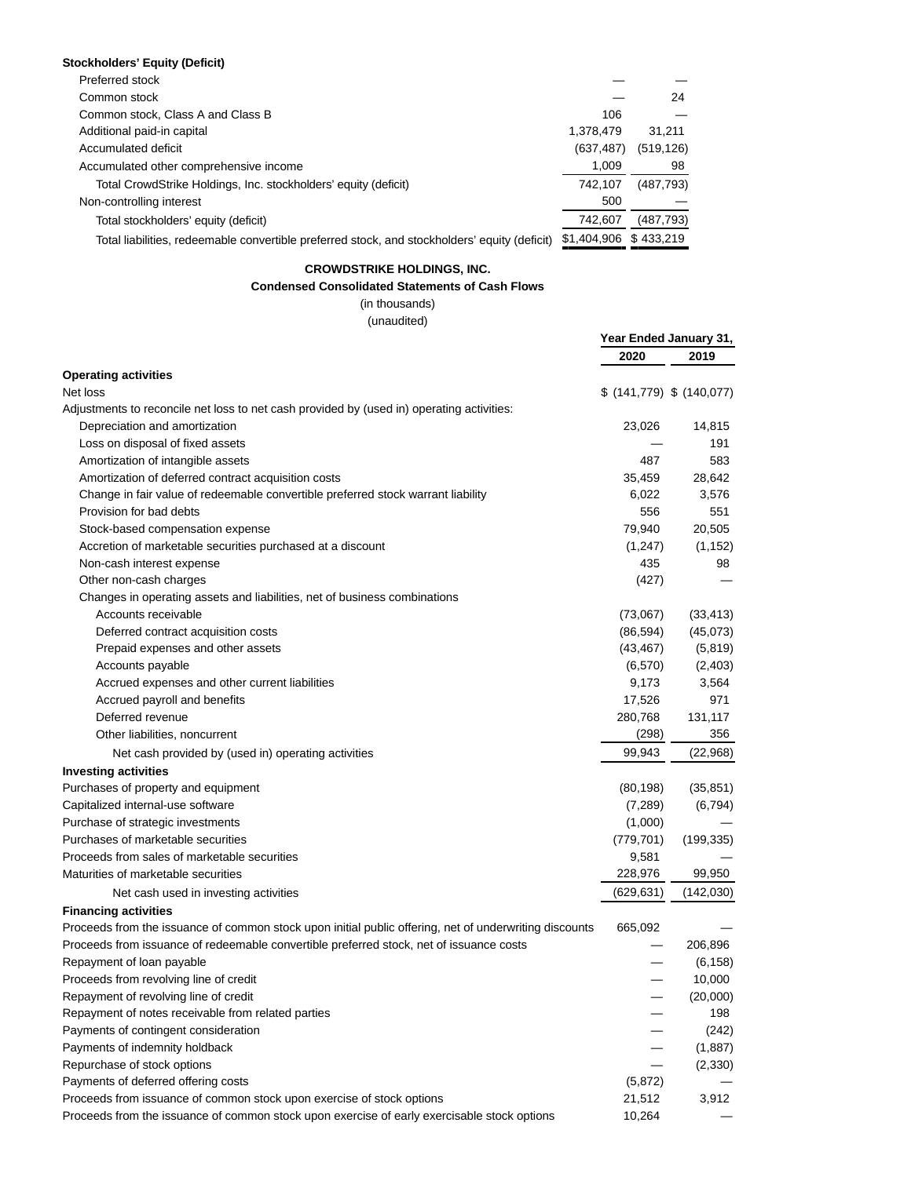### **Stockholders' Equity (Deficit)**

| Preferred stock                                                                               |                       |            |
|-----------------------------------------------------------------------------------------------|-----------------------|------------|
| Common stock                                                                                  |                       | 24         |
| Common stock, Class A and Class B                                                             | 106                   |            |
| Additional paid-in capital                                                                    | 1,378,479             | 31.211     |
| Accumulated deficit                                                                           | (637, 487)            | (519, 126) |
| Accumulated other comprehensive income                                                        | 1.009                 | 98         |
| Total CrowdStrike Holdings, Inc. stockholders' equity (deficit)                               | 742.107               | (487,793)  |
| Non-controlling interest                                                                      | 500                   |            |
| Total stockholders' equity (deficit)                                                          | 742,607               | (487, 793) |
| Total liabilities, redeemable convertible preferred stock, and stockholders' equity (deficit) | \$1,404,906 \$433.219 |            |

## **CROWDSTRIKE HOLDINGS, INC.**

### **Condensed Consolidated Statements of Cash Flows**

(in thousands) (unaudited)

|                                                                                                        | Year Ended January 31,    |                 |  |
|--------------------------------------------------------------------------------------------------------|---------------------------|-----------------|--|
|                                                                                                        | 2020                      | 2019            |  |
| <b>Operating activities</b>                                                                            |                           |                 |  |
| Net loss                                                                                               | \$ (141,779) \$ (140,077) |                 |  |
| Adjustments to reconcile net loss to net cash provided by (used in) operating activities:              |                           |                 |  |
| Depreciation and amortization                                                                          | 23,026                    | 14,815          |  |
| Loss on disposal of fixed assets                                                                       |                           | 191             |  |
| Amortization of intangible assets                                                                      | 487                       | 583             |  |
| Amortization of deferred contract acquisition costs                                                    | 35,459                    | 28,642          |  |
| Change in fair value of redeemable convertible preferred stock warrant liability                       | 6,022                     | 3,576           |  |
| Provision for bad debts                                                                                | 556                       | 551             |  |
| Stock-based compensation expense                                                                       | 79,940                    | 20,505          |  |
| Accretion of marketable securities purchased at a discount                                             | (1, 247)                  | (1, 152)        |  |
| Non-cash interest expense                                                                              | 435                       | 98              |  |
| Other non-cash charges                                                                                 | (427)                     |                 |  |
| Changes in operating assets and liabilities, net of business combinations                              |                           |                 |  |
| Accounts receivable                                                                                    | (73,067)                  | (33, 413)       |  |
| Deferred contract acquisition costs                                                                    | (86, 594)                 | (45,073)        |  |
| Prepaid expenses and other assets                                                                      | (43, 467)                 | (5,819)         |  |
| Accounts payable                                                                                       | (6, 570)                  | (2,403)         |  |
| Accrued expenses and other current liabilities                                                         | 9,173                     | 3,564           |  |
| Accrued payroll and benefits                                                                           | 17,526                    | 971             |  |
| Deferred revenue                                                                                       | 280,768                   | 131,117         |  |
| Other liabilities, noncurrent                                                                          | (298)                     | 356             |  |
| Net cash provided by (used in) operating activities                                                    | 99,943                    | (22,968)        |  |
| <b>Investing activities</b>                                                                            |                           |                 |  |
| Purchases of property and equipment                                                                    | (80, 198)                 | (35, 851)       |  |
| Capitalized internal-use software                                                                      | (7,289)                   | (6, 794)        |  |
| Purchase of strategic investments                                                                      | (1,000)                   |                 |  |
| Purchases of marketable securities                                                                     | (779, 701)                | (199, 335)      |  |
| Proceeds from sales of marketable securities                                                           | 9,581                     |                 |  |
| Maturities of marketable securities                                                                    | 228,976                   | 99,950          |  |
| Net cash used in investing activities                                                                  | (629,631)                 | (142, 030)      |  |
| <b>Financing activities</b>                                                                            |                           |                 |  |
| Proceeds from the issuance of common stock upon initial public offering, net of underwriting discounts | 665,092                   |                 |  |
| Proceeds from issuance of redeemable convertible preferred stock, net of issuance costs                |                           | 206,896         |  |
| Repayment of loan payable                                                                              |                           | (6, 158)        |  |
| Proceeds from revolving line of credit                                                                 |                           | 10,000          |  |
|                                                                                                        |                           |                 |  |
| Repayment of revolving line of credit                                                                  |                           | (20,000)<br>198 |  |
| Repayment of notes receivable from related parties<br>Payments of contingent consideration             |                           |                 |  |
| Payments of indemnity holdback                                                                         |                           | (242)           |  |
|                                                                                                        |                           | (1,887)         |  |
| Repurchase of stock options                                                                            |                           | (2, 330)        |  |
| Payments of deferred offering costs                                                                    | (5,872)                   |                 |  |
| Proceeds from issuance of common stock upon exercise of stock options                                  | 21,512                    | 3,912           |  |
| Proceeds from the issuance of common stock upon exercise of early exercisable stock options            | 10,264                    |                 |  |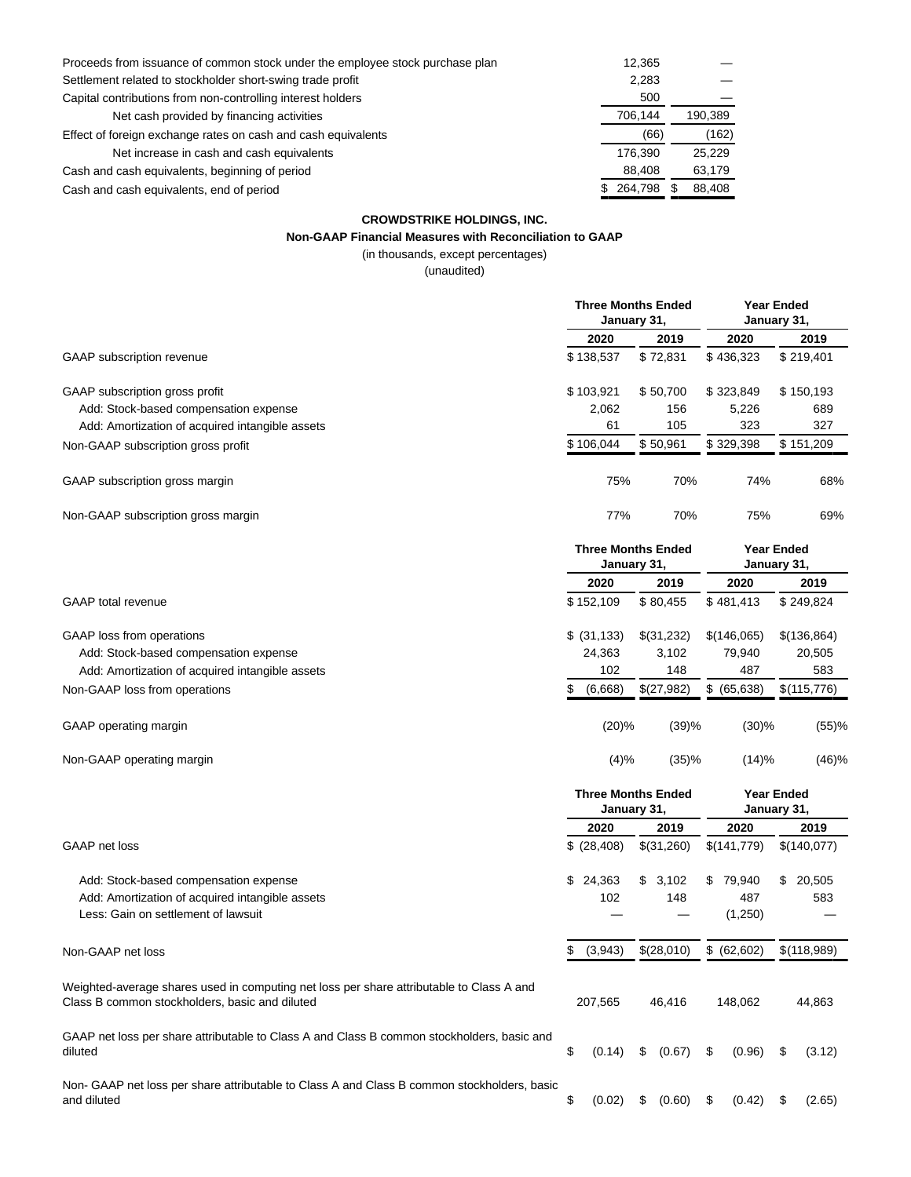| Proceeds from issuance of common stock under the employee stock purchase plan | 12,365  |         |
|-------------------------------------------------------------------------------|---------|---------|
| Settlement related to stockholder short-swing trade profit                    | 2,283   |         |
| Capital contributions from non-controlling interest holders                   | 500     |         |
| Net cash provided by financing activities                                     | 706,144 | 190,389 |
| Effect of foreign exchange rates on cash and cash equivalents                 | (66)    | (162)   |
| Net increase in cash and cash equivalents                                     | 176.390 | 25.229  |
| Cash and cash equivalents, beginning of period                                | 88,408  | 63,179  |
| Cash and cash equivalents, end of period                                      | 264.798 | 88.408  |

### **CROWDSTRIKE HOLDINGS, INC. Non-GAAP Financial Measures with Reconciliation to GAAP**

(in thousands, except percentages)

(unaudited)

|                                                 | <b>Three Months Ended</b><br>January 31, |          | <b>Year Ended</b><br>January 31, |           |  |  |  |
|-------------------------------------------------|------------------------------------------|----------|----------------------------------|-----------|--|--|--|
|                                                 | 2020                                     | 2019     | 2020                             | 2019      |  |  |  |
| <b>GAAP</b> subscription revenue                | \$138,537                                | \$72,831 | \$436,323                        | \$219,401 |  |  |  |
| GAAP subscription gross profit                  | \$103,921                                | \$50,700 | \$323,849                        | \$150,193 |  |  |  |
| Add: Stock-based compensation expense           | 2,062                                    | 156      | 5,226                            | 689       |  |  |  |
| Add: Amortization of acquired intangible assets | 61                                       | 105      | 323                              | 327       |  |  |  |
| Non-GAAP subscription gross profit              | \$106,044                                | \$50,961 | \$329,398                        | \$151,209 |  |  |  |
| GAAP subscription gross margin                  | 75%                                      | 70%      | 74%                              | 68%       |  |  |  |
| Non-GAAP subscription gross margin              | 77%                                      | 70%      | 75%                              | 69%       |  |  |  |
|                                                 | <b>Three Months Ended</b>                |          | <b>Year Ended</b>                |           |  |  |  |

|                                                 |                | January 31, |             |             |  |
|-------------------------------------------------|----------------|-------------|-------------|-------------|--|
|                                                 | 2020           | 2019        | 2020        | 2019        |  |
| <b>GAAP</b> total revenue                       | \$152.109      | \$80.455    | \$481.413   | \$249.824   |  |
| GAAP loss from operations                       | \$ (31, 133)   | \$(31,232)  | \$(146,065) | \$(136,864) |  |
| Add: Stock-based compensation expense           | 24,363         | 3.102       | 79.940      | 20,505      |  |
| Add: Amortization of acquired intangible assets | 102            | 148         | 487         | 583         |  |
| Non-GAAP loss from operations                   | (6,668)<br>\$. | \$(27,982)  | \$ (65,638) | \$(115,776) |  |
|                                                 |                |             |             |             |  |

GAAP operating margin and the state of the state of the state of the state of the state of the state of the state of the state of the state of the state of the state of the state of the state of the state of the state of t

Non-GAAP operating margin and the state of the state of the state of the state of the state of the state of the state of the state of the state of the state of the state of the state of the state of the state of the state

|                                                                                                                                            | <b>Three Months Ended</b><br>January 31, |              |    |            |    | <b>Year Ended</b><br>January 31, |    |             |
|--------------------------------------------------------------------------------------------------------------------------------------------|------------------------------------------|--------------|----|------------|----|----------------------------------|----|-------------|
|                                                                                                                                            |                                          | 2020         |    | 2019       |    | 2020                             |    | 2019        |
| GAAP net loss                                                                                                                              |                                          | \$ (28, 408) |    | \$(31,260) |    | \$(141,779)                      |    | \$(140,077) |
| Add: Stock-based compensation expense                                                                                                      | \$                                       | 24,363       | \$ | 3,102      | \$ | 79,940                           | S  | 20,505      |
| Add: Amortization of acquired intangible assets                                                                                            |                                          | 102          |    | 148        |    | 487                              |    | 583         |
| Less: Gain on settlement of lawsuit                                                                                                        |                                          |              |    |            |    | (1,250)                          |    |             |
| Non-GAAP net loss                                                                                                                          | S.                                       | (3,943)      |    | \$(28,010) |    | \$ (62,602)                      |    | \$(118,989) |
| Weighted-average shares used in computing net loss per share attributable to Class A and<br>Class B common stockholders, basic and diluted |                                          | 207.565      |    | 46.416     |    | 148.062                          |    | 44,863      |
| GAAP net loss per share attributable to Class A and Class B common stockholders, basic and<br>diluted                                      | \$                                       | (0.14)       | \$ | (0.67)     | \$ | (0.96)                           | \$ | (3.12)      |
| Non- GAAP net loss per share attributable to Class A and Class B common stockholders, basic<br>and diluted                                 | \$                                       | (0.02)       | \$ | (0.60)     | S  | (0.42)                           | \$ | (2.65)      |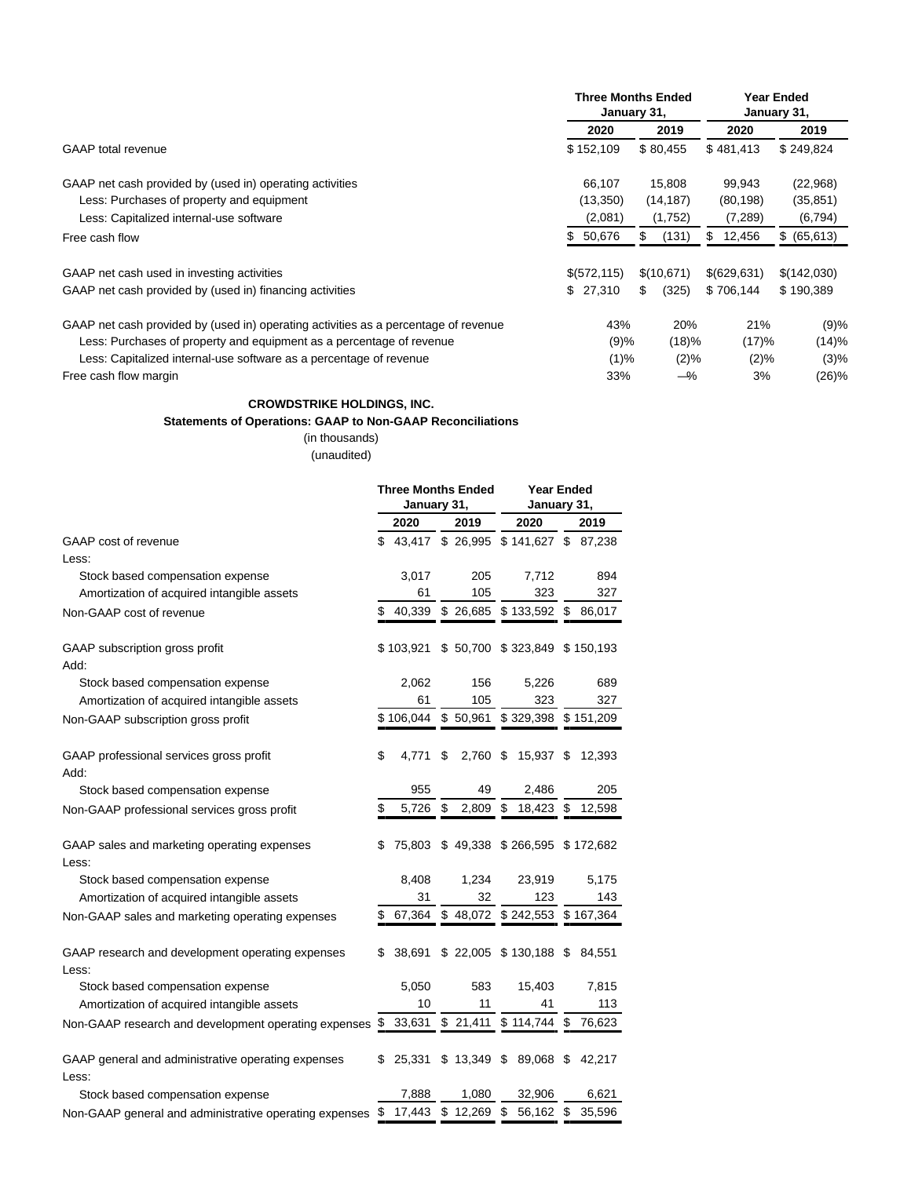|                                                                                     |               | <b>Three Months Ended</b><br>January 31, | <b>Year Ended</b><br>January 31, |              |  |
|-------------------------------------------------------------------------------------|---------------|------------------------------------------|----------------------------------|--------------|--|
|                                                                                     | 2020          | 2019                                     | 2020                             | 2019         |  |
| <b>GAAP</b> total revenue                                                           |               | \$80,455                                 | \$481,413                        | \$249,824    |  |
| GAAP net cash provided by (used in) operating activities                            | 66.107        | 15,808                                   | 99,943                           | (22,968)     |  |
| Less: Purchases of property and equipment                                           | (13,350)      | (14, 187)                                | (80, 198)                        | (35, 851)    |  |
| Less: Capitalized internal-use software                                             | (2,081)       | (1,752)                                  | (7,289)                          | (6, 794)     |  |
| Free cash flow                                                                      | 50,676<br>\$. | (131)<br>\$.                             | 12,456<br>S                      | \$ (65, 613) |  |
| GAAP net cash used in investing activities                                          | \$(572, 115)  | \$(10, 671)                              | \$(629, 631)                     | \$(142,030)  |  |
| GAAP net cash provided by (used in) financing activities                            | \$27,310      | (325)<br>S.                              | \$706.144                        | \$190,389    |  |
| GAAP net cash provided by (used in) operating activities as a percentage of revenue | 43%           | 20%                                      | 21%                              | (9)%         |  |
| Less: Purchases of property and equipment as a percentage of revenue                | (9)%          | (18)%                                    | (17)%                            | (14)%        |  |
| Less: Capitalized internal-use software as a percentage of revenue                  | (1)%          | (2)%                                     | (2)%                             | (3)%         |  |
| Free cash flow margin                                                               | 33%           | $-\%$                                    | 3%                               | (26)%        |  |

### **CROWDSTRIKE HOLDINGS, INC.**

### **Statements of Operations: GAAP to Non-GAAP Reconciliations**

(in thousands) (unaudited)

|                                                             | <b>Three Months Ended</b><br>January 31, |                  |    | <b>Year Ended</b><br>January 31, |    |                         |    |           |
|-------------------------------------------------------------|------------------------------------------|------------------|----|----------------------------------|----|-------------------------|----|-----------|
|                                                             |                                          | 2020             |    | 2019                             |    | 2020                    |    | 2019      |
| GAAP cost of revenue                                        | \$                                       | 43,417 \$ 26,995 |    |                                  |    | \$141,627 \$87,238      |    |           |
| Less:                                                       |                                          |                  |    |                                  |    |                         |    |           |
| Stock based compensation expense                            |                                          | 3,017            |    | 205                              |    | 7,712                   |    | 894       |
| Amortization of acquired intangible assets                  |                                          | 61               |    | 105                              |    | 323                     |    | 327       |
| Non-GAAP cost of revenue                                    | \$                                       | 40,339           |    | \$26,685                         |    | \$133,592               | \$ | 86,017    |
| GAAP subscription gross profit<br>Add:                      |                                          | \$103,921        |    |                                  |    | \$50,700 \$323,849      |    | \$150,193 |
| Stock based compensation expense                            |                                          | 2,062            |    | 156                              |    | 5,226                   |    | 689       |
| Amortization of acquired intangible assets                  |                                          | 61               |    | 105                              |    | 323                     |    | 327       |
| Non-GAAP subscription gross profit                          |                                          | \$106,044        |    | \$50,961                         |    | \$329,398 \$151,209     |    |           |
| GAAP professional services gross profit<br>Add:             | \$                                       | 4,771            | \$ | 2,760 \$                         |    | 15,937                  | \$ | 12,393    |
| Stock based compensation expense                            |                                          | 955              |    | 49                               |    | 2,486                   |    | 205       |
| Non-GAAP professional services gross profit                 | \$                                       | 5,726            | \$ | 2,809                            | \$ | 18,423                  | \$ | 12,598    |
| GAAP sales and marketing operating expenses<br>Less:        | S                                        | 75,803           |    | \$49,338                         |    | \$266,595               |    | \$172,682 |
| Stock based compensation expense                            |                                          | 8,408            |    | 1.234                            |    | 23,919                  |    | 5,175     |
| Amortization of acquired intangible assets                  |                                          | 31               |    | 32                               |    | 123                     |    | 143       |
| Non-GAAP sales and marketing operating expenses             |                                          | 67,364           |    | \$48,072                         |    | \$242,553               |    | \$167,364 |
| GAAP research and development operating expenses<br>Less:   | S                                        | 38,691           |    |                                  |    | $$22,005$ $$130,188$ \$ |    | 84,551    |
| Stock based compensation expense                            |                                          | 5,050            |    | 583                              |    | 15,403                  |    | 7,815     |
| Amortization of acquired intangible assets                  |                                          | 10               |    | 11                               |    | 41                      |    | 113       |
| Non-GAAP research and development operating expenses        | \$                                       | 33,631           |    | \$21,411                         |    | \$114,744               | \$ | 76,623    |
| GAAP general and administrative operating expenses<br>Less: |                                          | 25,331           |    | \$13,349                         | \$ | 89,068                  | \$ | 42,217    |
| Stock based compensation expense                            |                                          | 7,888            |    | 1,080                            |    | 32,906                  |    | 6,621     |
| Non-GAAP general and administrative operating expenses      | \$                                       | 17,443           |    | \$12,269                         | \$ | 56,162                  | \$ | 35,596    |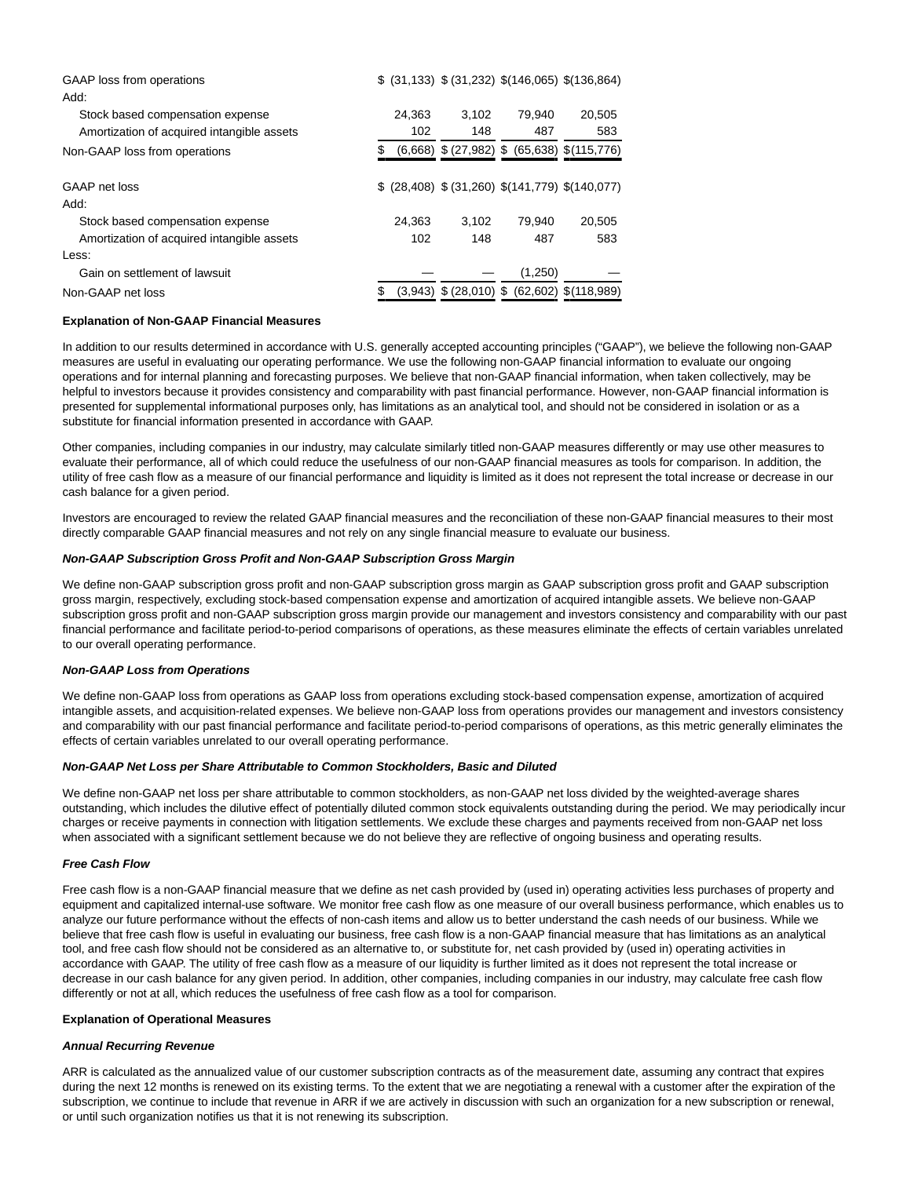| GAAP loss from operations                  |        |                            | $$$ (31,133) $$$ (31,232) $$$ (146,065) $$$ (136,864) |                           |
|--------------------------------------------|--------|----------------------------|-------------------------------------------------------|---------------------------|
| Add:                                       |        |                            |                                                       |                           |
| Stock based compensation expense           | 24.363 | 3.102                      | 79.940                                                | 20.505                    |
| Amortization of acquired intangible assets | 102    | 148                        | 487                                                   | 583                       |
| Non-GAAP loss from operations              |        |                            | $(6,668)$ \$ (27,982) \$ (65,638) \$ (115,776)        |                           |
|                                            |        |                            |                                                       |                           |
| GAAP net loss                              |        |                            | $$$ (28,408) $$$ (31,260) $$$ (141,779) $$$ (140,077) |                           |
| Add:                                       |        |                            |                                                       |                           |
| Stock based compensation expense           | 24.363 | 3.102                      | 79.940                                                | 20.505                    |
| Amortization of acquired intangible assets | 102    | 148                        | 487                                                   | 583                       |
| Less:                                      |        |                            |                                                       |                           |
| Gain on settlement of lawsuit              |        |                            | (1,250)                                               |                           |
| Non-GAAP net loss                          |        | $(3,943)$ \$ $(28,010)$ \$ |                                                       | $(62,602)$ \$ $(118,989)$ |
|                                            |        |                            |                                                       |                           |

### **Explanation of Non-GAAP Financial Measures**

In addition to our results determined in accordance with U.S. generally accepted accounting principles ("GAAP"), we believe the following non-GAAP measures are useful in evaluating our operating performance. We use the following non-GAAP financial information to evaluate our ongoing operations and for internal planning and forecasting purposes. We believe that non-GAAP financial information, when taken collectively, may be helpful to investors because it provides consistency and comparability with past financial performance. However, non-GAAP financial information is presented for supplemental informational purposes only, has limitations as an analytical tool, and should not be considered in isolation or as a substitute for financial information presented in accordance with GAAP.

Other companies, including companies in our industry, may calculate similarly titled non-GAAP measures differently or may use other measures to evaluate their performance, all of which could reduce the usefulness of our non-GAAP financial measures as tools for comparison. In addition, the utility of free cash flow as a measure of our financial performance and liquidity is limited as it does not represent the total increase or decrease in our cash balance for a given period.

Investors are encouraged to review the related GAAP financial measures and the reconciliation of these non-GAAP financial measures to their most directly comparable GAAP financial measures and not rely on any single financial measure to evaluate our business.

### **Non-GAAP Subscription Gross Profit and Non-GAAP Subscription Gross Margin**

We define non-GAAP subscription gross profit and non-GAAP subscription gross margin as GAAP subscription gross profit and GAAP subscription gross margin, respectively, excluding stock-based compensation expense and amortization of acquired intangible assets. We believe non-GAAP subscription gross profit and non-GAAP subscription gross margin provide our management and investors consistency and comparability with our past financial performance and facilitate period-to-period comparisons of operations, as these measures eliminate the effects of certain variables unrelated to our overall operating performance.

#### **Non-GAAP Loss from Operations**

We define non-GAAP loss from operations as GAAP loss from operations excluding stock-based compensation expense, amortization of acquired intangible assets, and acquisition-related expenses. We believe non-GAAP loss from operations provides our management and investors consistency and comparability with our past financial performance and facilitate period-to-period comparisons of operations, as this metric generally eliminates the effects of certain variables unrelated to our overall operating performance.

### **Non-GAAP Net Loss per Share Attributable to Common Stockholders, Basic and Diluted**

We define non-GAAP net loss per share attributable to common stockholders, as non-GAAP net loss divided by the weighted-average shares outstanding, which includes the dilutive effect of potentially diluted common stock equivalents outstanding during the period. We may periodically incur charges or receive payments in connection with litigation settlements. We exclude these charges and payments received from non-GAAP net loss when associated with a significant settlement because we do not believe they are reflective of ongoing business and operating results.

#### **Free Cash Flow**

Free cash flow is a non-GAAP financial measure that we define as net cash provided by (used in) operating activities less purchases of property and equipment and capitalized internal-use software. We monitor free cash flow as one measure of our overall business performance, which enables us to analyze our future performance without the effects of non-cash items and allow us to better understand the cash needs of our business. While we believe that free cash flow is useful in evaluating our business, free cash flow is a non-GAAP financial measure that has limitations as an analytical tool, and free cash flow should not be considered as an alternative to, or substitute for, net cash provided by (used in) operating activities in accordance with GAAP. The utility of free cash flow as a measure of our liquidity is further limited as it does not represent the total increase or decrease in our cash balance for any given period. In addition, other companies, including companies in our industry, may calculate free cash flow differently or not at all, which reduces the usefulness of free cash flow as a tool for comparison.

#### **Explanation of Operational Measures**

#### **Annual Recurring Revenue**

ARR is calculated as the annualized value of our customer subscription contracts as of the measurement date, assuming any contract that expires during the next 12 months is renewed on its existing terms. To the extent that we are negotiating a renewal with a customer after the expiration of the subscription, we continue to include that revenue in ARR if we are actively in discussion with such an organization for a new subscription or renewal, or until such organization notifies us that it is not renewing its subscription.